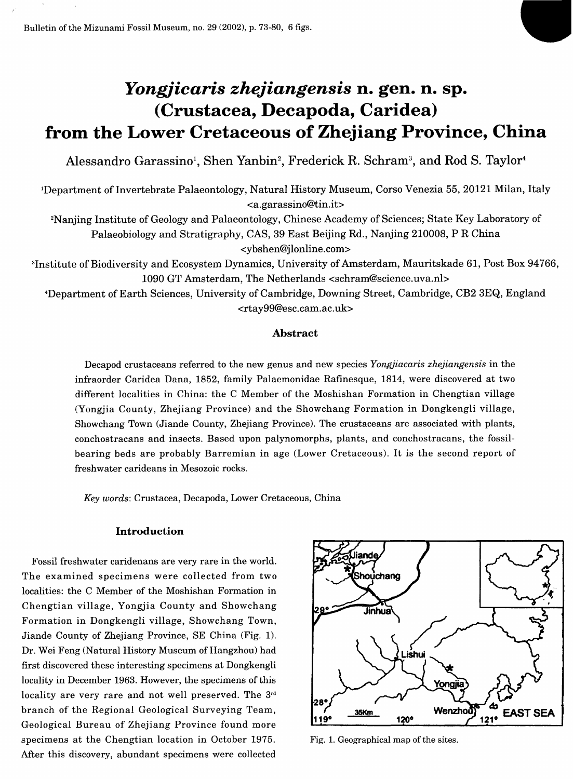Bulletin of the Mizunami Fossil Museum, no. 29 (2002), p. 73-80, 6 figs.

# *Yongjicaris zhejiangensis* **n. gen. n. sp. (Crustacea, Decapoda, Caridea) from the Lower Cretaceous of Zhejiang Province, China**

Alessandro Garassino<sup>1</sup>, Shen Yanbin<sup>2</sup>, Frederick R. Schram<sup>3</sup>, and Rod S. Taylor<sup>4</sup>

'Department of Invertebrate Palaeontology, Natural History Museum, Corso Venezia 55, 20121 Milan, Italy <[a.garassino@tin.it>](mailto:a.garassino@tin.it)

<sup>2</sup>Nanjing Institute of Geology and Palaeontology, Chinese Academy of Sciences; State Key Laboratory of Palaeobiology and Stratigraphy, CAS, 39 East Beijing Rd., Nanjing 210008, P R China <ybshen@j lonline.com>

<sup>3</sup>Institute of Biodiversity and Ecosystem Dynamics, University of Amsterdam, Mauritskade 61, Post Box 94766, 1090 GT Amsterdam, The Netherlands <[schram@science.uva.nl>](mailto:schram@science.uva.nl) 

^Department of Earth Sciences, University of Cambridge, Downing Street, Cambridge, CB2 3EQ, England <[rtay99@esc.cam.ac.uk>](mailto:rtay99@esc.cam.ac.uk)

## **Abstract**

Decapod crustaceans referred to the new genus and new species *Yongjiacaris zhejiangensis* in the infraorder Caridea Dana, 1852, family Palaemonidae Rafinesque, 1814, were discovered at two different localities in China: the C Member of the Moshishan Formation in Chengtian village (Yongjia County, Zhejiang Province) and the Showchang Formation in Dongkengli village, Showchang Town (Jiande County, Zhejiang Province). The crustaceans are associated with plants, conchostracans and insects. Based upon palynomorphs, plants, and conchostracans, the fossilbearing beds are probably Barremian in age (Lower Cretaceous). It is the second report of freshwater carideans in Mesozoic rocks.

*Key words:* Crustacea, Decapoda, Lower Cretaceous, China

## **Introduction**

Fossil freshwater caridenans are very rare in the world. The examined specimens were collected from two localities: the C Member of the Moshishan Formation in Chengtian village, Yongjia County and Showchang Formation in Dongkengli village, Showchang Town, Jiande County of Zhejiang Province, SE China (Fig. 1). Dr. Wei Feng (Natural History Museum of Hangzhou) had first discovered these interesting specimens at Dongkengli locality in December 1963. However, the specimens of this locality are very rare and not well preserved. The 3<sup>rd</sup> branch of the Regional Geological Surveying Team, Geological Bureau of Zhejiang Province found more specimens at the Chengtian location in October 1975. After this discovery, abundant specimens were collected



Fig. 1. Geographical map of the sites.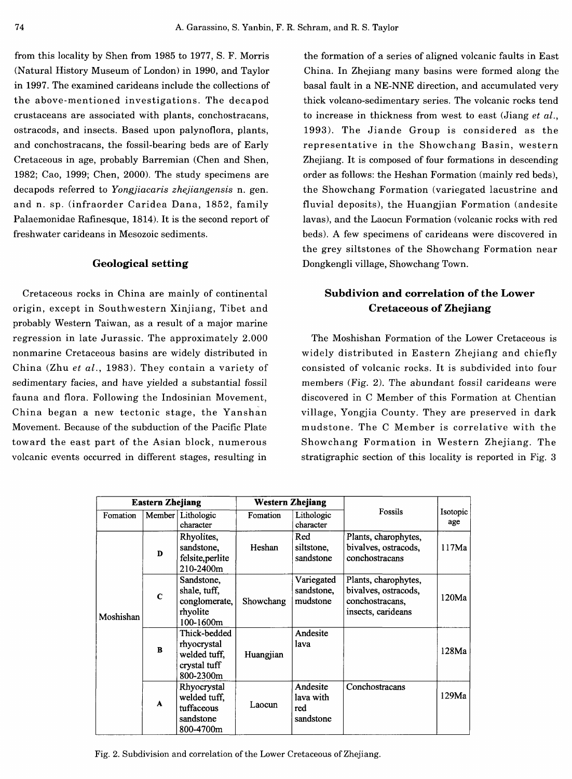from this locality by Shen from 1985 to 1977, S. F. Morris (Natural History Museum of London) in 1990, and Taylor in 1997. The examined carideans include the collections of the above-mentioned investigations. The decapod crustaceans are associated with plants, conchostracans, ostracods, and insects. Based upon palynoflora, plants, and conchostracans, the fossil-bearing beds are of Early Cretaceous in age, probably Barremian (Chen and Shen, 1982; Cao, 1999; Chen, 2000). The study specimens are decapods referred to *Yongjiacaris zhejiangensis* n. gen. and n. sp. (infraorder Caridea Dana, 1852, family Palaemonidae Rafinesque, 1814). It is the second report of freshwater carideans in Mesozoic sediments.

## **Geological setting**

Cretaceous rocks in China are mainly of continental origin, except in Southwestern Xinjiang, Tibet and probably Western Taiwan, as a result of a major marine regression in late Jurassic. The approximately 2.000 nonmarine Cretaceous basins are widely distributed in China (Zhu *et al.,* 1983). They contain a variety of sedimentary facies, and have yielded a substantial fossil fauna and flora. Following the Indosinian Movement, China began a new tectonic stage, the Yanshan Movement. Because of the subduction of the Pacific Plate toward the east part of the Asian block, numerous volcanic events occurred in different stages, resulting in

the formation of a series of aligned volcanic faults in East China. In Zhejiang many basins were formed along the basal fault in a NE-NNE direction, and accumulated very thick volcano-sedimentary series. The volcanic rocks tend to increase in thickness from west to east (Jiang *et al.,*  1993). The Jiande Group is considered as the representative in the Showchang Basin, western Zhejiang. It is composed of four formations in descending order as follows: the Heshan Formation (mainly red beds), the Showchang Formation (variegated lacustrine and fluvial deposits), the Huangjian Formation (andesite lavas), and the Laocun Formation (volcanic rocks with red beds). A few specimens of carideans were discovered in the grey siltstones of the Showchang Formation near Dongkengli village, Showchang Town.

# **Subdivion and correlation of the Lower Cretaceous of Zhejiang**

The Moshishan Formation of the Lower Cretaceous is widely distributed in Eastern Zhejiang and chiefly consisted of volcanic rocks. It is subdivided into four members (Fig. 2). The abundant fossil carideans were discovered in C Member of this Formation at Chentian village, Yongjia County. They are preserved in dark mudstone . The C Member is correlative with the Showchang Formation in Western Zhejiang. The stratigraphic section of this locality is reported in Fig. 3

| <b>Eastern Zhejiang</b> |             |                                                                          | Western Zhejiang |                                           |                                                                                       |                 |
|-------------------------|-------------|--------------------------------------------------------------------------|------------------|-------------------------------------------|---------------------------------------------------------------------------------------|-----------------|
| Fomation                | Member      | Lithologic<br>character                                                  | Fomation         | Lithologic<br>character                   | Fossils                                                                               | Isotopic<br>age |
| Moshishan               | D           | Rhyolites,<br>sandstone,<br>felsite, perlite<br>210-2400m                | Heshan           | Red<br>siltstone.<br>sandstone            | Plants, charophytes,<br>bivalves, ostracods,<br>conchostracans                        | 117Ma           |
|                         | $\mathbf C$ | Sandstone,<br>shale, tuff,<br>conglomerate,<br>rhyolite<br>100-1600m     | Showchang        | Variegated<br>sandstone,<br>mudstone      | Plants, charophytes,<br>bivalves, ostracods,<br>conchostracans,<br>insects, carideans | 120Ma           |
|                         | B           | Thick-bedded<br>rhyocrystal<br>welded tuff.<br>crystal tuff<br>800-2300m | Huangjian        | Andesite<br>lava                          |                                                                                       | 128Ma           |
|                         | A           | Rhyocrystal<br>welded tuff,<br>tuffaceous<br>sandstone<br>800-4700m      | Laocun           | Andesite<br>lava with<br>red<br>sandstone | Conchostracans                                                                        | 129Ma           |

Fig. 2. Subdivision and correlation of the Lower Cretaceous of Zhejiang.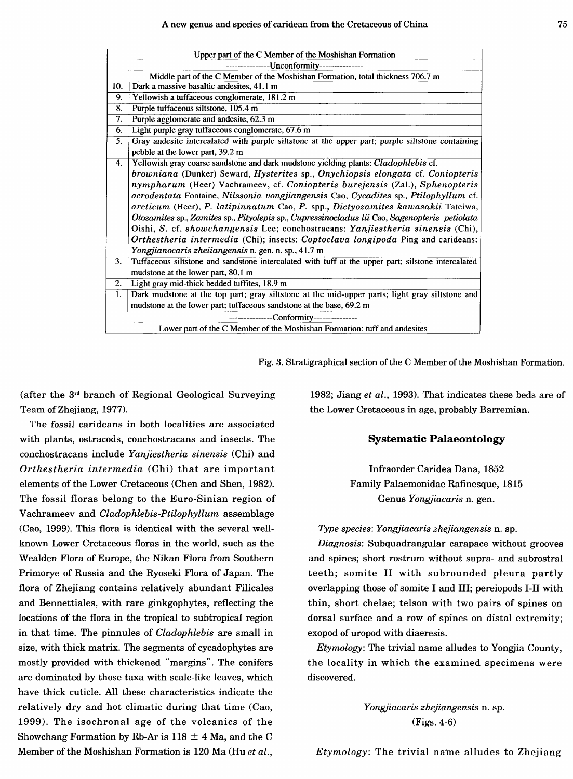| Upper part of the C Member of the Moshishan Formation                           |                                                                                                    |  |  |  |  |
|---------------------------------------------------------------------------------|----------------------------------------------------------------------------------------------------|--|--|--|--|
| --------Unconformity---------------                                             |                                                                                                    |  |  |  |  |
| Middle part of the C Member of the Moshishan Formation, total thickness 706.7 m |                                                                                                    |  |  |  |  |
| 10.                                                                             | Dark a massive basaltic andesites, 41.1 m                                                          |  |  |  |  |
| 9.                                                                              | Yellowish a tuffaceous conglomerate, 181.2 m                                                       |  |  |  |  |
| 8.                                                                              | Purple tuffaceous siltstone, 105.4 m                                                               |  |  |  |  |
| 7.                                                                              | Purple agglomerate and andesite, 62.3 m                                                            |  |  |  |  |
| 6.                                                                              | Light purple gray tuffaceous conglomerate, 67.6 m                                                  |  |  |  |  |
| 5.                                                                              | Gray andesite intercalated with purple siltstone at the upper part; purple siltstone containing    |  |  |  |  |
|                                                                                 | pebble at the lower part, 39.2 m                                                                   |  |  |  |  |
| 4.                                                                              | Yellowish gray coarse sandstone and dark mudstone yielding plants: <i>Cladophlebis</i> cf.         |  |  |  |  |
|                                                                                 | browniana (Dunker) Seward, Hysterites sp., Onychiopsis elongata cf. Coniopteris                    |  |  |  |  |
|                                                                                 | nympharum (Heer) Vachrameev, cf. Coniopteris burejensis (Zal.), Sphenopteris                       |  |  |  |  |
|                                                                                 | acrodentata Fontaine, Nilssonia vongjiangensis Cao, Cycadites sp., Ptilophyllum cf.                |  |  |  |  |
|                                                                                 | arcticum (Heer), P. latipinnatum Cao, P. spp., Dictyozamites kawasakii Tateiwa,                    |  |  |  |  |
|                                                                                 | Otozamites sp., Zamites sp., Pityolepis sp., Cupressinocladus lii Cao, Sagenopteris petiolata      |  |  |  |  |
|                                                                                 | Oishi, S. cf. showchangensis Lee; conchostracans: Yanjiestheria sinensis (Chi),                    |  |  |  |  |
|                                                                                 | Orthestheria intermedia (Chi); insects: Coptoclava longipoda Ping and carideans:                   |  |  |  |  |
|                                                                                 | Yongjianocaris zheijangensis n. gen. n. sp., 41.7 m                                                |  |  |  |  |
| 3.                                                                              | Tuffaceous siltstone and sandstone intercalated with tuff at the upper part; silstone intercalated |  |  |  |  |
|                                                                                 | mudstone at the lower part, 80.1 m                                                                 |  |  |  |  |
| 2.                                                                              | Light gray mid-thick bedded tuffites, 18.9 m                                                       |  |  |  |  |
| 1.                                                                              | Dark mudstone at the top part; gray siltstone at the mid-upper parts; light gray siltstone and     |  |  |  |  |
|                                                                                 | mudstone at the lower part; tuffaceous sandstone at the base, 69.2 m                               |  |  |  |  |
| ---------------Conformity---------------                                        |                                                                                                    |  |  |  |  |
|                                                                                 | Lower part of the C Member of the Moshishan Formation: tuff and andesites                          |  |  |  |  |

Fig. 3. Stratigraphical section of the C Member of the Moshishan Formation.

(after the  $3<sup>rd</sup>$  branch of Regional Geological Surveying Team of Zhejiang, 1977).

The fossil carideans in both localities are associated with plants, ostracods, conchostracans and insects. The conchostracans include *Yanjiestheria sinensis* (Chi) and *Orthestheria intermedia* (Chi) that are important elements of the Lower Cretaceous (Chen and Shen, 1982). The fossil floras belong to the Euro-Sinian region of Vachrameev and *Cladophlebis-Ptilophyllum* assemblage (Cao, 1999). This flora is identical with the several wellknown Lower Cretaceous floras in the world, such as the Wealden Flora of Europe, the Nikan Flora from Southern Primorye of Russia and the Ryoseki Flora of Japan. The flora of Zhejiang contains relatively abundant Filicales and Bennettiales, with rare ginkgophytes, reflecting the locations of the flora in the tropical to subtropical region in that time. The pinnules of *Cladophlebis* are small in size, with thick matrix. The segments of cycadophytes are mostly provided with thickened "margins". The conifers are dominated by those taxa with scale-like leaves, which have thick cuticle. All these characteristics indicate the relatively dry and hot climatic during that time (Cao, 1999). The isochronal age of the volcanics of the Showchang Formation by Rb-Ar is  $118 \pm 4$  Ma, and the C Member of the Moshishan Formation is 120 Ma (Hu *et al.,* 

1982; Jiang *et al.,* 1993). That indicates these beds are of the Lower Cretaceous in age, probably Barremian.

#### **Systematic Palaeontology**

Infraorder Caridea Dana, 1852 Family Palaemonidae Rafinesque, 1815 Genus *Yongjiacaris* n. gen.

## *Type species: Yongjiacaris zhejiangensis* n. sp.

*Diagnosis:* Subquadrangular carapace without grooves and spines; short rostrum without supra- and subrostral teeth; somite II with subrounded pleura partly overlapping those of somite I and III; pereiopods I-II with thin, short chelae; telson with two pairs of spines on dorsal surface and a row of spines on distal extremity; exopod of uropod with diaeresis.

*Etymology:* The trivial name alludes to Yongjia County, the locality in which the examined specimens were discovered.

> *Yongjiacaris zhejiangensis* n. sp. (Figs. 4-6)

*Etymology:* The trivial name alludes to Zhejiang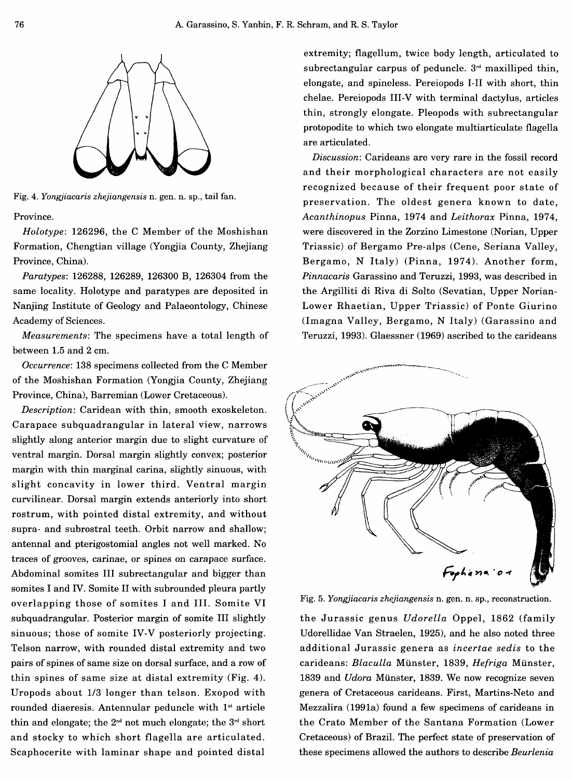

Fig. 4. *Yongjiacaris zhejiangensis* n. gen. n. sp., tail fan.

Province.

*Holotype:* 126296, the C Member of the Moshishan Formation, Chengtian village (Yongjia County, Zhejiang Province, China).

*Paratypes:* 126288, 126289, 126300 B, 126304 from the same locality. Holotype and paratypes are deposited in Nanjing Institute of Geology and Palaeontology, Chinese Academy of Sciences.

*Measurements:* The specimens have a total length of between 1.5 and 2 cm.

*Occurrence:* 138 specimens collected from the C Member of the Moshishan Formation (Yongjia County, Zhejiang Province, China), Barremian (Lower Cretaceous).

*Description:* Caridean with thin, smooth exoskeleton. Carapace subquadrangular in lateral view, narrows slightly along anterior margin due to slight curvature of ventral margin. Dorsal margin slightly convex; posterior margin with thin marginal carina, slightly sinuous, with slight concavity in lower third. Ventral margin curvilinear. Dorsal margin extends anteriorly into short rostrum, with pointed distal extremity, and without supra- and subrostral teeth. Orbit narrow and shallow; antennal and pterigostomial angles not well marked. No traces of grooves, carinae, or spines on carapace surface. Abdominal somites III subrectangular and bigger than somites I and IV. Somite II with subrounded pleura partly overlapping those of somites I and III. Somite VI subquadrangular. Posterior margin of somite III slightly sinuous; those of somite IV-V posteriorly projecting. Telson narrow, with rounded distal extremity and two pairs of spines of same size on dorsal surface, and a row of thin spines of same size at distal extremity (Fig. 4). Uropods about 1/3 longer than telson. Exopod with rounded diaeresis. Antennular peduncle with  $1<sup>st</sup>$  article thin and elongate; the  $2<sup>nd</sup>$  not much elongate; the  $3<sup>rd</sup>$  short and stocky to which short flagella are articulated. Scaphocerite with laminar shape and pointed distal

extremity; flagellum, twice body length, articulated to subrectangular carpus of peduncle.  $3<sup>rd</sup>$  maxilliped thin, elongate, and spineless. Pereiopods I-II with short, thin chelae. Pereiopods III-V with terminal dactylus, articles thin, strongly elongate. Pleopods with subrectangular protopodite to which two elongate multiarticulate flagella are articulated.

*Discussion:* Carideans are very rare in the fossil record and their morphological characters are not easily recognized because of their frequent poor state of preservation. The oldest genera known to date, *Acanthinopus* Pinna, 1974 and *Leithorax* Pinna, 1974, were discovered in the Zorzino Limestone (Norian, Upper Triassic) of Bergamo Pre-alps (Cene, Seriana Valley, Bergamo, N Italy) (Pinna, 1974). Another form, *Pinnacaris* Garassino and Teruzzi, 1993, was described in the Argilliti di Riva di Solto (Sevatian, Upper Norian-Lower Rhaetian, Upper Triassic) of Ponte Giurino (Imagna Valley, Bergamo, N Italy) (Garassino and Teruzzi, 1993). Glaessner (1969) ascribed to the carideans



Fig. 5. *Yongjiacaris zhejiangensis* n. gen. n. sp., reconstruction.

the Jurassic genus *Udorella* Oppel, 1862 (family Udorellidae Van Straelen, 1925), and he also noted three additional Jurassic genera as *incertae sedis* to the carideans: *Blaculla* Miinster, 1839, *Hefriga* Miinster, 1839 and *Udora* Miinster, 1839. We now recognize seven genera of Cretaceous carideans. First, Martins-Neto and Mezzalira (1991a) found a few specimens of carideans in the Crato Member of the Santana Formation (Lower Cretaceous) of Brazil. The perfect state of preservation of these specimens allowed the authors to describe *Beurlenia*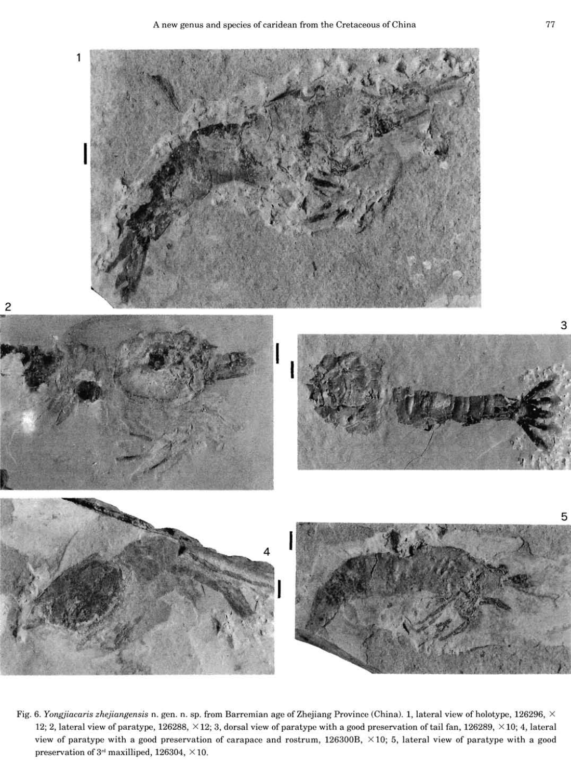

Fig. 6. *Yongjiacaris zhejiangensis* n. gen. n. sp. from Barremian age of Zhejiang Province (China). 1, lateral view of holotype, 126296, X 12; 2, lateral view of paratype, 126288,  $\times$  12; 3, dorsal view of paratype with a good preservation of tail fan, 126289,  $\times$  10; 4, lateral view of paratype with a good preservation of carapace and rostrum,  $126300B$ ,  $\times 10$ ; 5, lateral view of paratype with a good preservation of  $3<sup>rd</sup>$  maxilliped, 126304,  $\times$  10.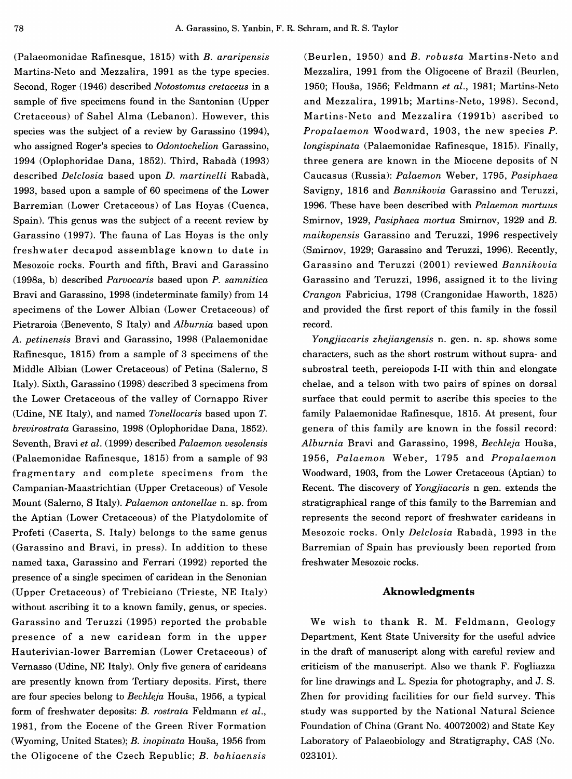(Palaeomonidae Rafinesque, 1815) with *B. araripensis*  Martins-Neto and Mezzalira, 1991 as the type species. Second, Roger (1946) described *Notostomus cretaceus* in a sample of five specimens found in the Santonian (Upper Cretaceous) of Sahel Alma (Lebanon). However, this species was the subject of a review by Garassino (1994), who assigned Roger's species to *Odontochelion* Garassino, 1994 (Oplophoridae Dana, 1852). Third, Rabada (1993) described *Delclosia* based upon *D. martinelli* Rabada, 1993, based upon a sample of 60 specimens of the Lower Barremian (Lower Cretaceous) of Las Hoyas (Cuenca, Spain). This genus was the subject of a recent review by Garassino (1997). The fauna of Las Hoyas is the only freshwater decapod assemblage known to date in Mesozoic rocks. Fourth and fifth, Bravi and Garassino (1998a, b) described *Parvocaris* based upon *P. samnitica*  Bravi and Garassino, 1998 (indeterminate family) from 14 specimens of the Lower Albian (Lower Cretaceous) of Pietraroia (Benevento, S Italy) and *Alburnia* based upon *A. petinensis* Bravi and Garassino, 1998 (Palaemonidae Rafinesque, 1815) from a sample of 3 specimens of the Middle Albian (Lower Cretaceous) of Petina (Salerno, S Italy). Sixth, Garassino (1998) described 3 specimens from the Lower Cretaceous of the valley of Cornappo River (Udine, NE Italy), and named *Tonellocaris* based upon *T. brevirostrata* Garassino, 1998 (Oplophoridae Dana, 1852). Seventh, Bravi *et al.* (1999) described *Palaemon vesolensis*  (Palaemonidae Rafinesque, 1815) from a sample of 93 fragmentary and complete specimens from the Campanian-Maastrichtian (Upper Cretaceous) of Vesole Mount (Salerno, S Italy). *Palaemon antonellae* n. sp. from the Aptian (Lower Cretaceous) of the Platydolomite of Profeti (Caserta, S. Italy) belongs to the same genus (Garassino and Bravi, in press). In addition to these named taxa, Garassino and Ferrari (1992) reported the presence of a single specimen of caridean in the Senonian (Upper Cretaceous) of Trebiciano (Trieste, NE Italy) without ascribing it to a known family, genus, or species. Garassino and Teruzzi (1995) reported the probable presence of a new caridean form in the upper Hauterivian-lower Barremian (Lower Cretaceous) of Vernasso (Udine, NE Italy). Only five genera of carideans are presently known from Tertiary deposits. First, there are four species belong to *Bechleja* Housa, 1956, a typical form of freshwater deposits: *B. rostrata* Feldmann *et al.,*  1981, from the Eocene of the Green River Formation (Wyoming, United States); *B. inopinata* Housa, 1956 from the Oligocene of the Czech Republic; *B. bahiaensis* 

(Beurlen, 1950) and *B. robusta* Martins-Neto and Mezzalira, 1991 from the Oligocene of Brazil (Beurlen, 1950; Housa, 1956; Feldmann *et al.,* 1981; Martins-Neto and Mezzalira, 1991b; Martins-Neto, 1998). Second, Martins-Neto and Mezzalira (1991b) ascribed to *Propalaemon* Woodward, 1903, the new species *P. longispinata* (Palaemonidae Rafinesque, 1815). Finally, three genera are known in the Miocene deposits of N Caucasus (Russia): *Palaemon* Weber, 1795, *Pasiphaea*  Savigny, 1816 and *Bannikovia* Garassino and Teruzzi, 1996. These have been described with *Palaemon mortuus*  Smirnov, 1929, *Pasiphaea mortua* Smirnov, 1929 and *B. maikopensis* Garassino and Teruzzi, 1996 respectively (Smirnov, 1929; Garassino and Teruzzi, 1996). Recently, Garassino and Teruzzi (2001) reviewed *Bannikovia*  Garassino and Teruzzi, 1996, assigned it to the living *Crangon* Fabricius, 1798 (Crangonidae Haworth, 1825) and provided the first report of this family in the fossil record.

*Yongjiacaris zhejiangensis* n. gen. n. sp. shows some characters, such as the short rostrum without supra- and subrostral teeth, pereiopods I-II with thin and elongate chelae, and a telson with two pairs of spines on dorsal surface that could permit to ascribe this species to the family Palaemonidae Rafinesque, 1815. At present, four genera of this family are known in the fossil record: *Alburnia* Bravi and Garassino, 1998, *Bechleja* Housa, 1956, *Palaemon* Weber, 1795 and *Propalaemon*  Woodward, 1903, from the Lower Cretaceous (Aptian) to Recent. The discovery of *Yongjiacaris* n gen. extends the stratigraphical range of this family to the Barremian and represents the second report of freshwater carideans in Mesozoic rocks. Only *Delclosia* Rabada, 1993 in the Barremian of Spain has previously been reported from freshwater Mesozoic rocks.

# **Aknowledgments**

We wish to thank R. M. Feldmann, Geology Department, Kent State University for the useful advice in the draft of manuscript along with careful review and criticism of the manuscript. Also we thank F. Fogliazza for line drawings and L. Spezia for photography, and J. S. Zhen for providing facilities for our field survey. This study was supported by the National Natural Science Foundation of China (Grant No. 40072002) and State Key Laboratory of Palaeobiology and Stratigraphy, CAS (No. 023101).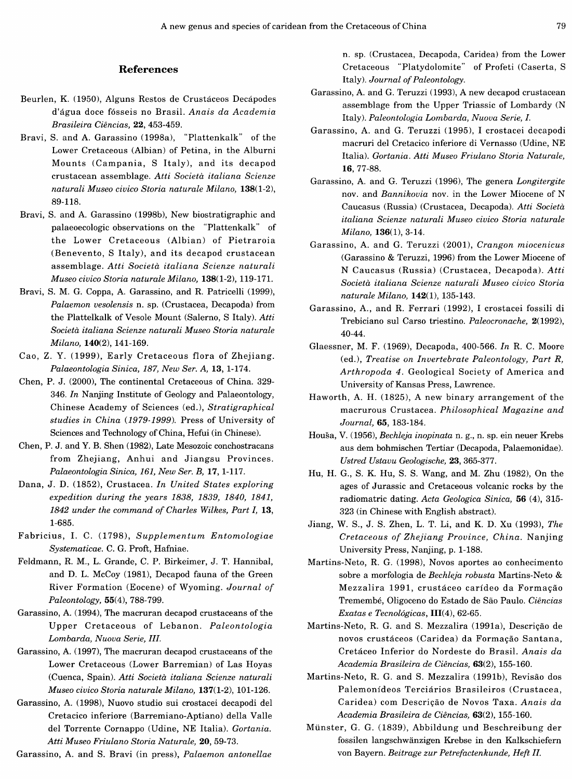### References

- Beurlen, K. (1950), Alguns Restos de Crustaceos Decapodes d'agua doce fosseis no Brasil. *Anais da Academia Brasileira Ciencias,* 22, 453-459.
- Bravi, S. and A. Garassino (1998a), "Plattenkalk" of the Lower Cretaceous (Albian) of Petina, in the Alburni Mounts (Campania, S Italy), and its decapod crustacean assemblage. *Atti Societd italiana Scienze naturali Museo civico Storia naturale Milano,* 138(1-2), 89-118.
- Bravi, S. and A. Garassino (1998b), New biostratigraphic and palaeoecologic observations on the "Plattenkalk" of the Lower Cretaceous (Albian) of Pietraroia (Benevento, S Italy), and its decapod crustacean assemblage. *Atti Societd italiana Scienze naturali Museo civico Storia naturale Milano,* 138(1-2), 119-171.
- Bravi, S. M. G. Coppa, A. Garassino, and R. Patricelli (1999), *Palaemon vesolensis* n. sp. (Crustacea, Decapoda) from the Plattelkalk of Vesole Mount (Salerno, S Italy). *Atti Societd italiana Scienze naturali Museo Storia naturale Milano,* 140(2), 141-169.
- Cao, Z. Y. (1999), Early Cretaceous flora of Zheiiang. *Palaeontologia Sinica, 187, New Ser. A,* 13, 1-174.
- Chen, P. J. (2000), The continental Cretaceous of China. 329- 346. *In* Nanjing Institute of Geology and Palaeontology, Chinese Academy of Sciences (ed.), *Stratigraphical studies in China {1979-1999).* Press of University of Sciences and Technology of China, Hefui (in Chinese).
- Chen, P. J. and Y. B. Shen (1982), Late Mesozoic conchostracans from Zhejiang, Anhui and Jiangsu Provinces. *Palaeontologia Sinica, 161, New Ser. B,* 17, 1-117.
- Dana, J. D. (1852), Crustacea. *In United States exploring expedition during the years 1838, 1839, 1840, 1841, 1842 under the command of Charles Wilkes, Part I,* 13, 1-685.
- Fabricius, I. C. (1798), *Supplementum Entomologiae Systematicae.* C. G. Proft, Hafniae.
- Feldmann, R. M., L. Grande, C. P. Birkeimer, J. T. Hannibal, and D. L. McCoy (1981), Decapod fauna of the Green River Formation (Eocene) of Wyoming. *Journal of Paleontology,* 55(4), 788-799.
- Garassino, A. (1994), The macruran decapod crustaceans of the Upper Cretaceous of Lebanon. Paleontologia *Lombarda, Nuova Serie, III.*
- Garassino, A. (1997), The macruran decapod crustaceans of the Lower Cretaceous (Lower Barremian) of Las Hoyas (Cuenca, Spain). *Atti Societd italiana Scienze naturali Museo civico Storia naturale Milano,* 137(1-2), 101-126.
- Garassino, A. (1998), Nuovo studio sui crostacei decapodi del Cretacico inferiore (Barremiano-Aptiano) della Valle del Torrente Cornappo (Udine, NE Italia). *Gortania. Atti Museo Friulano Storia Naturale,* 20, 59-73.

Garassino, A. and S. Bravi (in press), *Palaemon antonellae* 

n. sp. (Crustacea, Decapoda, Caridea) from the Lower Cretaceous "Platydolomite" of Profeti (Caserta, S Italy). *Journal of Paleontology.* 

- Garassino, A. and G. Teruzzi (1993), A new decapod crustacean assemblage from the Upper Triassic of Lombardy (N Italy). *Paleontologia Lombarda, Nuova Serie, I.*
- Garassino, A. and G. Teruzzi (1995), I crostacei decapodi macruri del Cretacico inferiore di Vernasso (Udine, NE Italia). *Gortania. Atti Museo Friulano Storia Naturale,*  16, 77-88.
- Garassino, A. and G. Teruzzi (1996), The genera *Longitergite*  nov. and *Bannikovia* nov. in the Lower Miocene of N Caucasus (Russia) (Crustacea, Decapoda). *Atti Societd italiana Scienze naturali Museo civico Storia naturale Milano,* 136(1), 3-14.
- Garassino, A. and G. Teruzzi (2001), *Crangon miocenicus*  (Garassino & Teruzzi, 1996) from the Lower Miocene of N Caucasus (Russia) (Crustacea, Decapoda). *Atti Societd italiana Scienze naturali Museo civico Storia naturale Milano,* 142(1), 135-143.
- Garassino, A., and R. Ferrari (1992), I crostacei fossili di Trebiciano sul Carso triestino. *Paleocronache,* 2(1992), 40-44.
- Glaessner, M. F. (1969), Decapoda, 400-566. *In* R. C. Moore (ed.). *Treatise on Invertebrate Paleontology, Part R, Arthropoda 4.* Geological Society of America and University of Kansas Press, Lawrence.
- Haworth, A. H. (1825), A new binary arrangement of the macrurous Crustacea. *Philosophical Magazine and Journal,* 65, 183-184.
- Housa, V. (1956), *Bechleja inopinata* n. g., n. sp. ein neuer Krebs aus dem bohmischen Tertiar (Decapoda, Palaemonidae). *Ustred Ustavu Geologische,* 23, 365-377.
- Hu, H. G., S. K. Hu, S. S. Wang, and M. Zhu (1982), On the ages of Jurassic and Cretaceous volcanic rocks by the radiomatric dating. *Acta Geologica Sinica,* 56 (4), 315- 323 (in Chinese with English abstract).
- Jiang, W. S., J. S. Zhen, L. T. Li, and K. D. Xu (1993), *The Cretaceous of Zhejiang Province, China.* Nanjing University Press, Nanjing, p. 1-188.
- Martins-Neto, R. G. (1998), Novos aportes ao conhecimento sobre a morfologia de *Bechleja robusta* Martins-Neto & Mezzalira 1991, crustáceo carídeo da Formação Tremembe, Oligoceno do Estado de Sao Paulo. *Ciencias Exatas e Tecnologicas,* 111(4), 62-65.
- Martins-Neto, R. G. and S. Mezzalira (1991a), Descrigao de novos crustáceos (Caridea) da Formação Santana, Cretaceo Inferior do Nordeste do Brasil. *Anais da Academia Brasileira de Ciencias,* 63(2), 155-160.
- Martins-Neto, R. G. and S. Mezzalira (1991b), Revisao dos Palemonídeos Terciários Brasileiros (Crustacea, Caridea) com Descrigao de Novos Taxa. *Anais da Academia Brasileira de Ciencias,* 63(2), 155-160.
- Miinster, G. G. (1839), Abbildung und Beschreibung der fossilen langschwanzigen Krebse in den Kalkschiefern von Bayern. *Beitrage zur Petrefactenkunde, Heft II.*